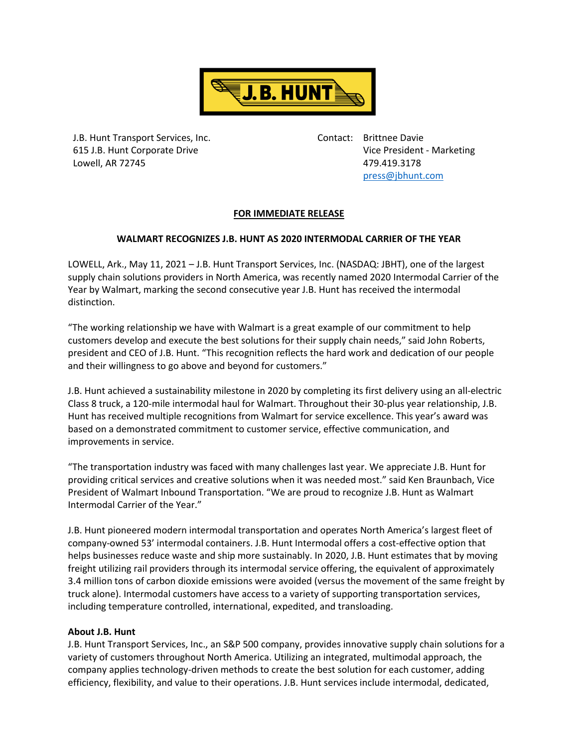

J.B. Hunt Transport Services, Inc. Contact: Brittnee Davie Lowell, AR 72745 479.419.3178

615 J.B. Hunt Corporate Drive Vice President - Marketing [press@jbhunt.com](mailto:press@jbhunt.com)

## **FOR IMMEDIATE RELEASE**

## **WALMART RECOGNIZES J.B. HUNT AS 2020 INTERMODAL CARRIER OF THE YEAR**

LOWELL, Ark., May 11, 2021 – J.B. Hunt Transport Services, Inc. (NASDAQ: JBHT), one of the largest supply chain solutions providers in North America, was recently named 2020 Intermodal Carrier of the Year by Walmart, marking the second consecutive year J.B. Hunt has received the intermodal distinction.

"The working relationship we have with Walmart is a great example of our commitment to help customers develop and execute the best solutions for their supply chain needs," said John Roberts, president and CEO of J.B. Hunt. "This recognition reflects the hard work and dedication of our people and their willingness to go above and beyond for customers."

J.B. Hunt achieved a sustainability milestone in 2020 by completing its first delivery using an all-electric Class 8 truck, a 120-mile intermodal haul for Walmart. Throughout their 30-plus year relationship, J.B. Hunt has received multiple recognitions from Walmart for service excellence. This year's award was based on a demonstrated commitment to customer service, effective communication, and improvements in service.

"The transportation industry was faced with many challenges last year. We appreciate J.B. Hunt for providing critical services and creative solutions when it was needed most." said Ken Braunbach, Vice President of Walmart Inbound Transportation. "We are proud to recognize J.B. Hunt as Walmart Intermodal Carrier of the Year."

J.B. Hunt pioneered modern intermodal transportation and operates North America's largest fleet of company-owned 53' intermodal containers. J.B. Hunt Intermodal offers a cost-effective option that helps businesses reduce waste and ship more sustainably. In 2020, J.B. Hunt estimates that by moving freight utilizing rail providers through its intermodal service offering, the equivalent of approximately 3.4 million tons of carbon dioxide emissions were avoided (versus the movement of the same freight by truck alone). Intermodal customers have access to a variety of supporting transportation services, including temperature controlled, international, expedited, and transloading.

## **About J.B. Hunt**

J.B. Hunt Transport Services, Inc., an S&P 500 company, provides innovative supply chain solutions for a variety of customers throughout North America. Utilizing an integrated, multimodal approach, the company applies technology-driven methods to create the best solution for each customer, adding efficiency, flexibility, and value to their operations. J.B. Hunt services include intermodal, dedicated,